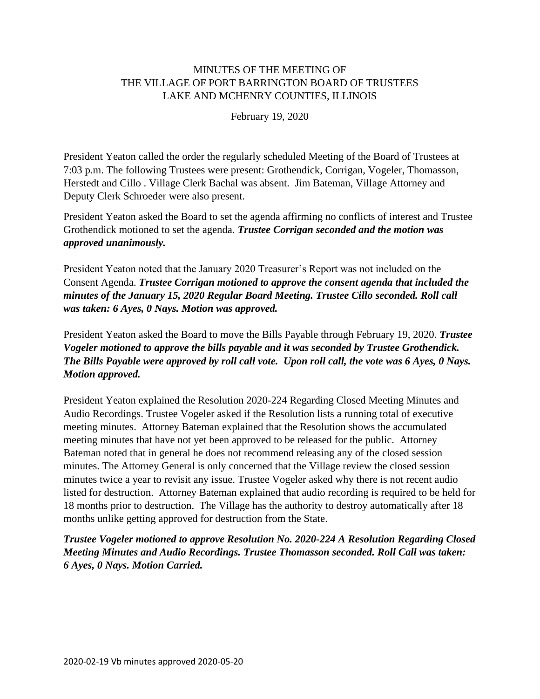# MINUTES OF THE MEETING OF THE VILLAGE OF PORT BARRINGTON BOARD OF TRUSTEES LAKE AND MCHENRY COUNTIES, ILLINOIS

February 19, 2020

President Yeaton called the order the regularly scheduled Meeting of the Board of Trustees at 7:03 p.m. The following Trustees were present: Grothendick, Corrigan, Vogeler, Thomasson, Herstedt and Cillo . Village Clerk Bachal was absent. Jim Bateman, Village Attorney and Deputy Clerk Schroeder were also present.

President Yeaton asked the Board to set the agenda affirming no conflicts of interest and Trustee Grothendick motioned to set the agenda. *Trustee Corrigan seconded and the motion was approved unanimously.*

President Yeaton noted that the January 2020 Treasurer's Report was not included on the Consent Agenda. *Trustee Corrigan motioned to approve the consent agenda that included the minutes of the January 15, 2020 Regular Board Meeting. Trustee Cillo seconded. Roll call was taken: 6 Ayes, 0 Nays. Motion was approved.*

President Yeaton asked the Board to move the Bills Payable through February 19, 2020. *Trustee Vogeler motioned to approve the bills payable and it was seconded by Trustee Grothendick. The Bills Payable were approved by roll call vote. Upon roll call, the vote was 6 Ayes, 0 Nays. Motion approved.*

President Yeaton explained the Resolution 2020-224 Regarding Closed Meeting Minutes and Audio Recordings. Trustee Vogeler asked if the Resolution lists a running total of executive meeting minutes. Attorney Bateman explained that the Resolution shows the accumulated meeting minutes that have not yet been approved to be released for the public. Attorney Bateman noted that in general he does not recommend releasing any of the closed session minutes. The Attorney General is only concerned that the Village review the closed session minutes twice a year to revisit any issue. Trustee Vogeler asked why there is not recent audio listed for destruction. Attorney Bateman explained that audio recording is required to be held for 18 months prior to destruction. The Village has the authority to destroy automatically after 18 months unlike getting approved for destruction from the State.

*Trustee Vogeler motioned to approve Resolution No. 2020-224 A Resolution Regarding Closed Meeting Minutes and Audio Recordings. Trustee Thomasson seconded. Roll Call was taken: 6 Ayes, 0 Nays. Motion Carried.*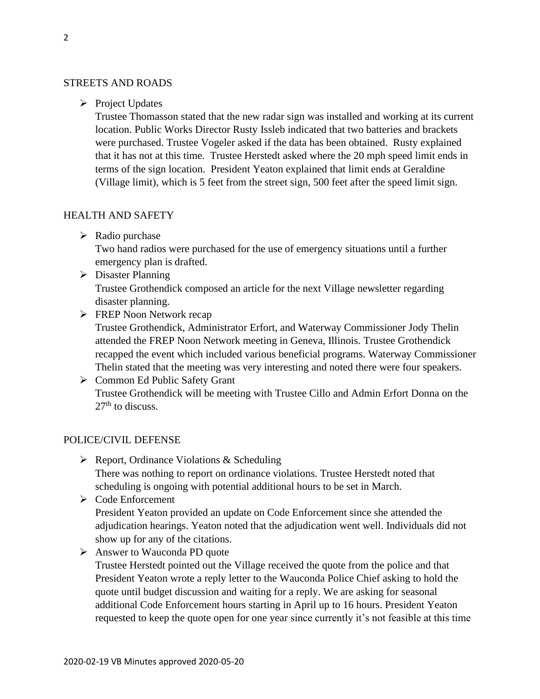#### STREETS AND ROADS

➢ Project Updates

Trustee Thomasson stated that the new radar sign was installed and working at its current location. Public Works Director Rusty Issleb indicated that two batteries and brackets were purchased. Trustee Vogeler asked if the data has been obtained. Rusty explained that it has not at this time. Trustee Herstedt asked where the 20 mph speed limit ends in terms of the sign location. President Yeaton explained that limit ends at Geraldine (Village limit), which is 5 feet from the street sign, 500 feet after the speed limit sign.

#### HEALTH AND SAFETY

➢ Radio purchase

Two hand radios were purchased for the use of emergency situations until a further emergency plan is drafted.

➢ Disaster Planning

Trustee Grothendick composed an article for the next Village newsletter regarding disaster planning.

➢ FREP Noon Network recap Trustee Grothendick, Administrator Erfort, and Waterway Commissioner Jody Thelin attended the FREP Noon Network meeting in Geneva, Illinois. Trustee Grothendick recapped the event which included various beneficial programs. Waterway Commissioner Thelin stated that the meeting was very interesting and noted there were four speakers.

## ➢ Common Ed Public Safety Grant Trustee Grothendick will be meeting with Trustee Cillo and Admin Erfort Donna on the  $27<sup>th</sup>$  to discuss.

#### POLICE/CIVIL DEFENSE

- ➢ Report, Ordinance Violations & Scheduling There was nothing to report on ordinance violations. Trustee Herstedt noted that scheduling is ongoing with potential additional hours to be set in March.
- ➢ Code Enforcement President Yeaton provided an update on Code Enforcement since she attended the adjudication hearings. Yeaton noted that the adjudication went well. Individuals did not show up for any of the citations.
- ➢ Answer to Wauconda PD quote

Trustee Herstedt pointed out the Village received the quote from the police and that President Yeaton wrote a reply letter to the Wauconda Police Chief asking to hold the quote until budget discussion and waiting for a reply. We are asking for seasonal additional Code Enforcement hours starting in April up to 16 hours. President Yeaton requested to keep the quote open for one year since currently it's not feasible at this time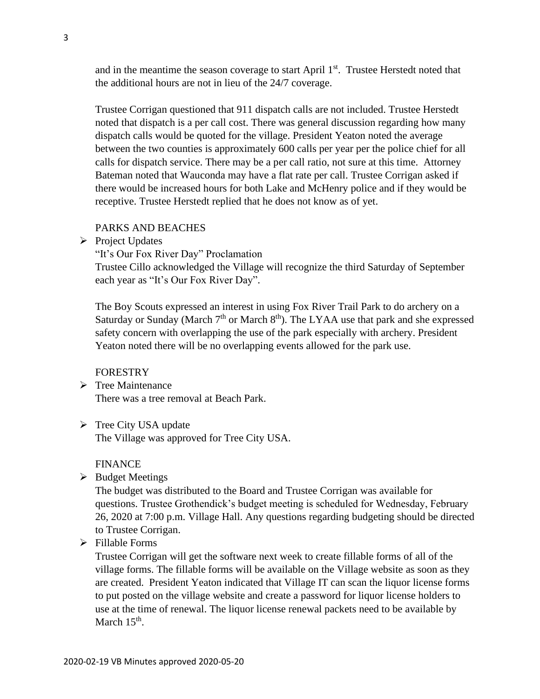and in the meantime the season coverage to start April 1<sup>st</sup>. Trustee Herstedt noted that the additional hours are not in lieu of the 24/7 coverage.

Trustee Corrigan questioned that 911 dispatch calls are not included. Trustee Herstedt noted that dispatch is a per call cost. There was general discussion regarding how many dispatch calls would be quoted for the village. President Yeaton noted the average between the two counties is approximately 600 calls per year per the police chief for all calls for dispatch service. There may be a per call ratio, not sure at this time. Attorney Bateman noted that Wauconda may have a flat rate per call. Trustee Corrigan asked if there would be increased hours for both Lake and McHenry police and if they would be receptive. Trustee Herstedt replied that he does not know as of yet.

#### PARKS AND BEACHES

➢ Project Updates

"It's Our Fox River Day" Proclamation

Trustee Cillo acknowledged the Village will recognize the third Saturday of September each year as "It's Our Fox River Day".

The Boy Scouts expressed an interest in using Fox River Trail Park to do archery on a Saturday or Sunday (March  $7<sup>th</sup>$  or March  $8<sup>th</sup>$ ). The LYAA use that park and she expressed safety concern with overlapping the use of the park especially with archery. President Yeaton noted there will be no overlapping events allowed for the park use.

#### FORESTRY

- ➢ Tree Maintenance There was a tree removal at Beach Park.
- ➢ Tree City USA update The Village was approved for Tree City USA.

#### FINANCE

➢ Budget Meetings

The budget was distributed to the Board and Trustee Corrigan was available for questions. Trustee Grothendick's budget meeting is scheduled for Wednesday, February 26, 2020 at 7:00 p.m. Village Hall. Any questions regarding budgeting should be directed to Trustee Corrigan.

➢ Fillable Forms

Trustee Corrigan will get the software next week to create fillable forms of all of the village forms. The fillable forms will be available on the Village website as soon as they are created. President Yeaton indicated that Village IT can scan the liquor license forms to put posted on the village website and create a password for liquor license holders to use at the time of renewal. The liquor license renewal packets need to be available by March  $15<sup>th</sup>$ .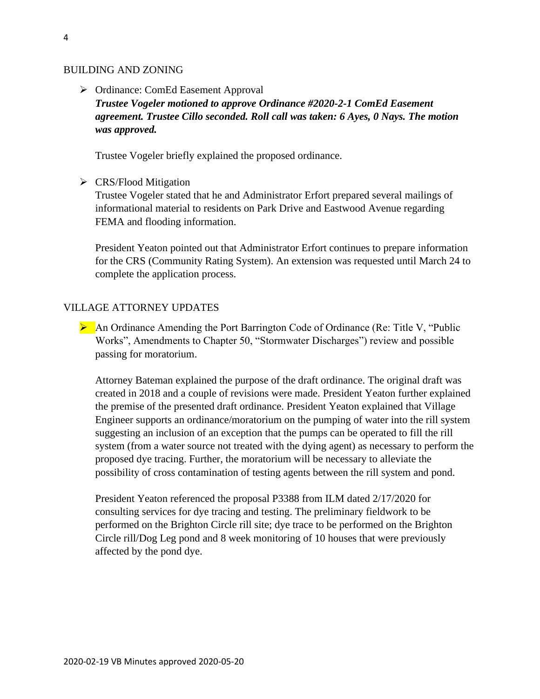#### BUILDING AND ZONING

➢ Ordinance: ComEd Easement Approval *Trustee Vogeler motioned to approve Ordinance #2020-2-1 ComEd Easement agreement. Trustee Cillo seconded. Roll call was taken: 6 Ayes, 0 Nays. The motion was approved.*

Trustee Vogeler briefly explained the proposed ordinance.

➢ CRS/Flood Mitigation

Trustee Vogeler stated that he and Administrator Erfort prepared several mailings of informational material to residents on Park Drive and Eastwood Avenue regarding FEMA and flooding information.

President Yeaton pointed out that Administrator Erfort continues to prepare information for the CRS (Community Rating System). An extension was requested until March 24 to complete the application process.

#### VILLAGE ATTORNEY UPDATES

➢ An Ordinance Amending the Port Barrington Code of Ordinance (Re: Title V, "Public Works", Amendments to Chapter 50, "Stormwater Discharges") review and possible passing for moratorium.

Attorney Bateman explained the purpose of the draft ordinance. The original draft was created in 2018 and a couple of revisions were made. President Yeaton further explained the premise of the presented draft ordinance. President Yeaton explained that Village Engineer supports an ordinance/moratorium on the pumping of water into the rill system suggesting an inclusion of an exception that the pumps can be operated to fill the rill system (from a water source not treated with the dying agent) as necessary to perform the proposed dye tracing. Further, the moratorium will be necessary to alleviate the possibility of cross contamination of testing agents between the rill system and pond.

President Yeaton referenced the proposal P3388 from ILM dated 2/17/2020 for consulting services for dye tracing and testing. The preliminary fieldwork to be performed on the Brighton Circle rill site; dye trace to be performed on the Brighton Circle rill/Dog Leg pond and 8 week monitoring of 10 houses that were previously affected by the pond dye.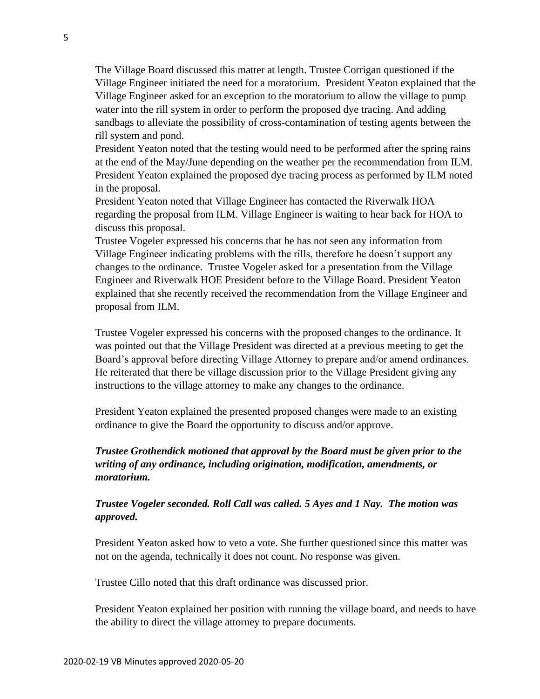The Village Board discussed this matter at length. Trustee Corrigan questioned if the Village Engineer initiated the need for a moratorium. President Yeaton explained that the Village Engineer asked for an exception to the moratorium to allow the village to pump water into the rill system in order to perform the proposed dye tracing. And adding sandbags to alleviate the possibility of cross-contamination of testing agents between the rill system and pond.

President Yeaton noted that the testing would need to be performed after the spring rains at the end of the May/June depending on the weather per the recommendation from ILM. President Yeaton explained the proposed dye tracing process as performed by ILM noted in the proposal.

President Yeaton noted that Village Engineer has contacted the Riverwalk HOA regarding the proposal from ILM. Village Engineer is waiting to hear back for HOA to discuss this proposal.

Trustee Vogeler expressed his concerns that he has not seen any information from Village Engineer indicating problems with the rills, therefore he doesn't support any changes to the ordinance. Trustee Vogeler asked for a presentation from the Village Engineer and Riverwalk HOE President before to the Village Board. President Yeaton explained that she recently received the recommendation from the Village Engineer and proposal from ILM.

Trustee Vogeler expressed his concerns with the proposed changes to the ordinance. It was pointed out that the Village President was directed at a previous meeting to get the Board's approval before directing Village Attorney to prepare and/or amend ordinances. He reiterated that there be village discussion prior to the Village President giving any instructions to the village attorney to make any changes to the ordinance.

President Yeaton explained the presented proposed changes were made to an existing ordinance to give the Board the opportunity to discuss and/or approve.

### *Trustee Grothendick motioned that approval by the Board must be given prior to the writing of any ordinance, including origination, modification, amendments, or moratorium.*

### *Trustee Vogeler seconded. Roll Call was called. 5 Ayes and 1 Nay. The motion was approved.*

President Yeaton asked how to veto a vote. She further questioned since this matter was not on the agenda, technically it does not count. No response was given.

Trustee Cillo noted that this draft ordinance was discussed prior.

President Yeaton explained her position with running the village board, and needs to have the ability to direct the village attorney to prepare documents.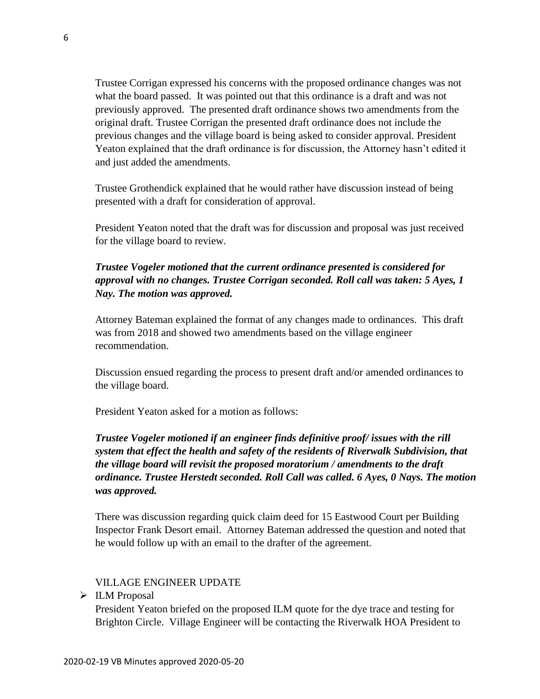Trustee Corrigan expressed his concerns with the proposed ordinance changes was not what the board passed. It was pointed out that this ordinance is a draft and was not previously approved. The presented draft ordinance shows two amendments from the original draft. Trustee Corrigan the presented draft ordinance does not include the previous changes and the village board is being asked to consider approval. President Yeaton explained that the draft ordinance is for discussion, the Attorney hasn't edited it and just added the amendments.

Trustee Grothendick explained that he would rather have discussion instead of being presented with a draft for consideration of approval.

President Yeaton noted that the draft was for discussion and proposal was just received for the village board to review.

## *Trustee Vogeler motioned that the current ordinance presented is considered for approval with no changes. Trustee Corrigan seconded. Roll call was taken: 5 Ayes, 1 Nay. The motion was approved.*

Attorney Bateman explained the format of any changes made to ordinances. This draft was from 2018 and showed two amendments based on the village engineer recommendation.

Discussion ensued regarding the process to present draft and/or amended ordinances to the village board.

President Yeaton asked for a motion as follows:

# *Trustee Vogeler motioned if an engineer finds definitive proof/ issues with the rill system that effect the health and safety of the residents of Riverwalk Subdivision, that the village board will revisit the proposed moratorium / amendments to the draft ordinance. Trustee Herstedt seconded. Roll Call was called. 6 Ayes, 0 Nays. The motion was approved.*

There was discussion regarding quick claim deed for 15 Eastwood Court per Building Inspector Frank Desort email. Attorney Bateman addressed the question and noted that he would follow up with an email to the drafter of the agreement.

#### VILLAGE ENGINEER UPDATE

➢ ILM Proposal

President Yeaton briefed on the proposed ILM quote for the dye trace and testing for Brighton Circle. Village Engineer will be contacting the Riverwalk HOA President to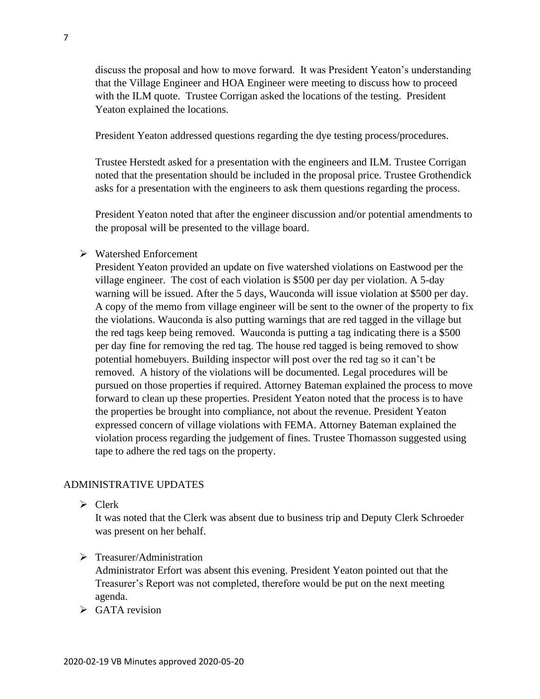discuss the proposal and how to move forward. It was President Yeaton's understanding that the Village Engineer and HOA Engineer were meeting to discuss how to proceed with the ILM quote. Trustee Corrigan asked the locations of the testing. President Yeaton explained the locations.

President Yeaton addressed questions regarding the dye testing process/procedures.

Trustee Herstedt asked for a presentation with the engineers and ILM. Trustee Corrigan noted that the presentation should be included in the proposal price. Trustee Grothendick asks for a presentation with the engineers to ask them questions regarding the process.

President Yeaton noted that after the engineer discussion and/or potential amendments to the proposal will be presented to the village board.

#### ➢ Watershed Enforcement

President Yeaton provided an update on five watershed violations on Eastwood per the village engineer. The cost of each violation is \$500 per day per violation. A 5-day warning will be issued. After the 5 days, Wauconda will issue violation at \$500 per day. A copy of the memo from village engineer will be sent to the owner of the property to fix the violations. Wauconda is also putting warnings that are red tagged in the village but the red tags keep being removed. Wauconda is putting a tag indicating there is a \$500 per day fine for removing the red tag. The house red tagged is being removed to show potential homebuyers. Building inspector will post over the red tag so it can't be removed. A history of the violations will be documented. Legal procedures will be pursued on those properties if required. Attorney Bateman explained the process to move forward to clean up these properties. President Yeaton noted that the process is to have the properties be brought into compliance, not about the revenue. President Yeaton expressed concern of village violations with FEMA. Attorney Bateman explained the violation process regarding the judgement of fines. Trustee Thomasson suggested using tape to adhere the red tags on the property.

#### ADMINISTRATIVE UPDATES

➢ Clerk

It was noted that the Clerk was absent due to business trip and Deputy Clerk Schroeder was present on her behalf.

➢ Treasurer/Administration

Administrator Erfort was absent this evening. President Yeaton pointed out that the Treasurer's Report was not completed, therefore would be put on the next meeting agenda.

 $\triangleright$  GATA revision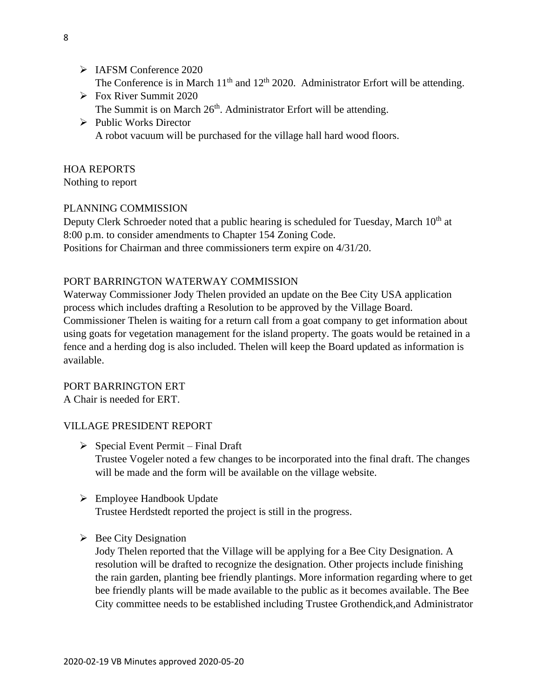- ➢ IAFSM Conference 2020 The Conference is in March  $11<sup>th</sup>$  and  $12<sup>th</sup>$  2020. Administrator Erfort will be attending.
- ➢ Fox River Summit 2020 The Summit is on March 26<sup>th</sup>. Administrator Erfort will be attending.
- ➢ Public Works Director A robot vacuum will be purchased for the village hall hard wood floors.

# HOA REPORTS

Nothing to report

# PLANNING COMMISSION

Deputy Clerk Schroeder noted that a public hearing is scheduled for Tuesday, March 10<sup>th</sup> at 8:00 p.m. to consider amendments to Chapter 154 Zoning Code. Positions for Chairman and three commissioners term expire on 4/31/20.

# PORT BARRINGTON WATERWAY COMMISSION

Waterway Commissioner Jody Thelen provided an update on the Bee City USA application process which includes drafting a Resolution to be approved by the Village Board. Commissioner Thelen is waiting for a return call from a goat company to get information about using goats for vegetation management for the island property. The goats would be retained in a fence and a herding dog is also included. Thelen will keep the Board updated as information is available.

PORT BARRINGTON ERT A Chair is needed for ERT.

# VILLAGE PRESIDENT REPORT

- $\triangleright$  Special Event Permit Final Draft Trustee Vogeler noted a few changes to be incorporated into the final draft. The changes will be made and the form will be available on the village website.
- ➢ Employee Handbook Update Trustee Herdstedt reported the project is still in the progress.
- $\triangleright$  Bee City Designation

Jody Thelen reported that the Village will be applying for a Bee City Designation. A resolution will be drafted to recognize the designation. Other projects include finishing the rain garden, planting bee friendly plantings. More information regarding where to get bee friendly plants will be made available to the public as it becomes available. The Bee City committee needs to be established including Trustee Grothendick,and Administrator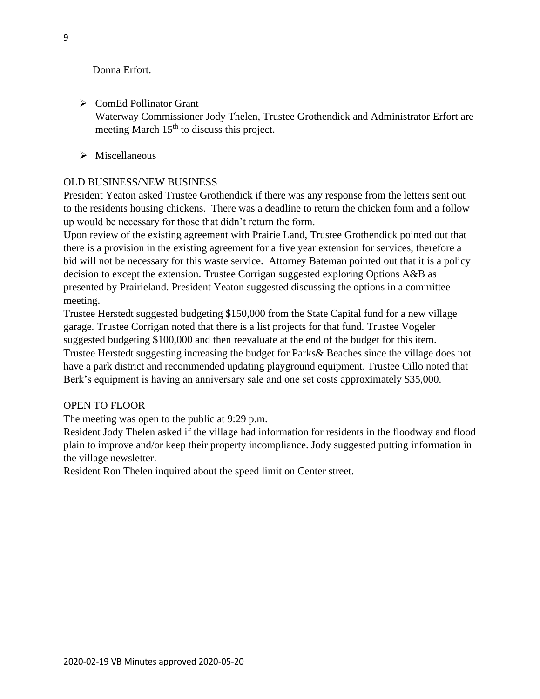Donna Erfort.

- ➢ ComEd Pollinator Grant Waterway Commissioner Jody Thelen, Trustee Grothendick and Administrator Erfort are meeting March 15<sup>th</sup> to discuss this project.
- ➢ Miscellaneous

### OLD BUSINESS/NEW BUSINESS

President Yeaton asked Trustee Grothendick if there was any response from the letters sent out to the residents housing chickens. There was a deadline to return the chicken form and a follow up would be necessary for those that didn't return the form.

Upon review of the existing agreement with Prairie Land, Trustee Grothendick pointed out that there is a provision in the existing agreement for a five year extension for services, therefore a bid will not be necessary for this waste service. Attorney Bateman pointed out that it is a policy decision to except the extension. Trustee Corrigan suggested exploring Options A&B as presented by Prairieland. President Yeaton suggested discussing the options in a committee meeting.

Trustee Herstedt suggested budgeting \$150,000 from the State Capital fund for a new village garage. Trustee Corrigan noted that there is a list projects for that fund. Trustee Vogeler suggested budgeting \$100,000 and then reevaluate at the end of the budget for this item. Trustee Herstedt suggesting increasing the budget for Parks& Beaches since the village does not have a park district and recommended updating playground equipment. Trustee Cillo noted that Berk's equipment is having an anniversary sale and one set costs approximately \$35,000.

### OPEN TO FLOOR

The meeting was open to the public at 9:29 p.m.

Resident Jody Thelen asked if the village had information for residents in the floodway and flood plain to improve and/or keep their property incompliance. Jody suggested putting information in the village newsletter.

Resident Ron Thelen inquired about the speed limit on Center street.